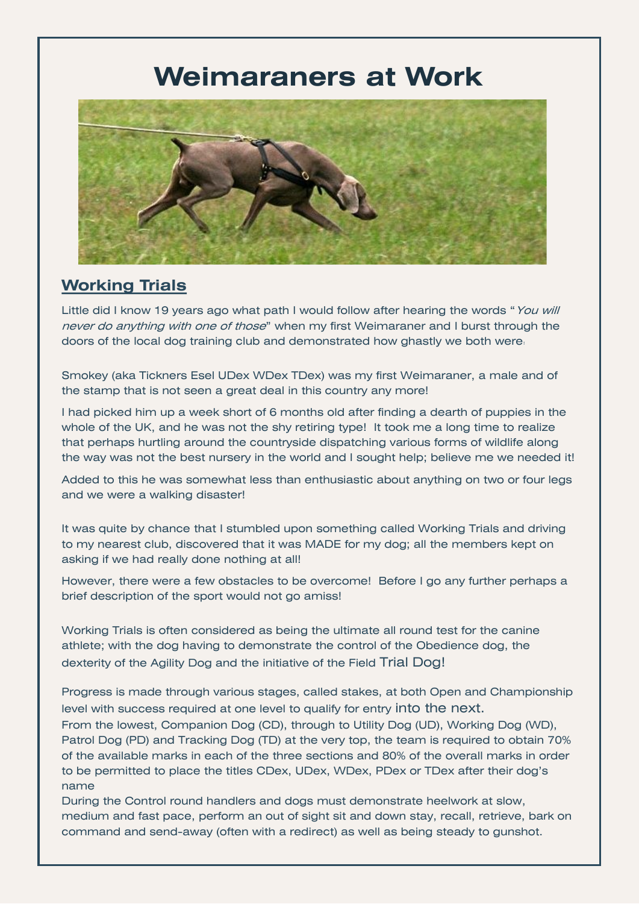## **Weimaraners at Work**



## **Working Trials**

Little did I know 19 years ago what path I would follow after hearing the words "You will never do anything with one of those" when my first Weimaraner and I burst through the doors of the local dog training club and demonstrated how ghastly we both were.

Smokey (aka Tickners Esel UDex WDex TDex) was my first Weimaraner, a male and of the stamp that is not seen a great deal in this country any more!

I had picked him up a week short of 6 months old after finding a dearth of puppies in the whole of the UK, and he was not the shy retiring type! It took me a long time to realize that perhaps hurtling around the countryside dispatching various forms of wildlife along the way was not the best nursery in the world and I sought help; believe me we needed it!

Added to this he was somewhat less than enthusiastic about anything on two or four legs and we were a walking disaster!

It was quite by chance that I stumbled upon something called Working Trials and driving to my nearest club, discovered that it was MADE for my dog; all the members kept on asking if we had really done nothing at all!

However, there were a few obstacles to be overcome! Before I go any further perhaps a brief description of the sport would not go amiss!

Working Trials is often considered as being the ultimate all round test for the canine athlete; with the dog having to demonstrate the control of the Obedience dog, the dexterity of the Agility Dog and the initiative of the Field Trial Dog!

Progress is made through various stages, called stakes, at both Open and Championship level with success required at one level to qualify for entry into the next.

From the lowest, Companion Dog (CD), through to Utility Dog (UD), Working Dog (WD), Patrol Dog (PD) and Tracking Dog (TD) at the very top, the team is required to obtain 70% of the available marks in each of the three sections and 80% of the overall marks in order to be permitted to place the titles CDex, UDex, WDex, PDex or TDex after their dog's name

During the Control round handlers and dogs must demonstrate heelwork at slow, medium and fast pace, perform an out of sight sit and down stay, recall, retrieve, bark on command and send-away (often with a redirect) as well as being steady to gunshot.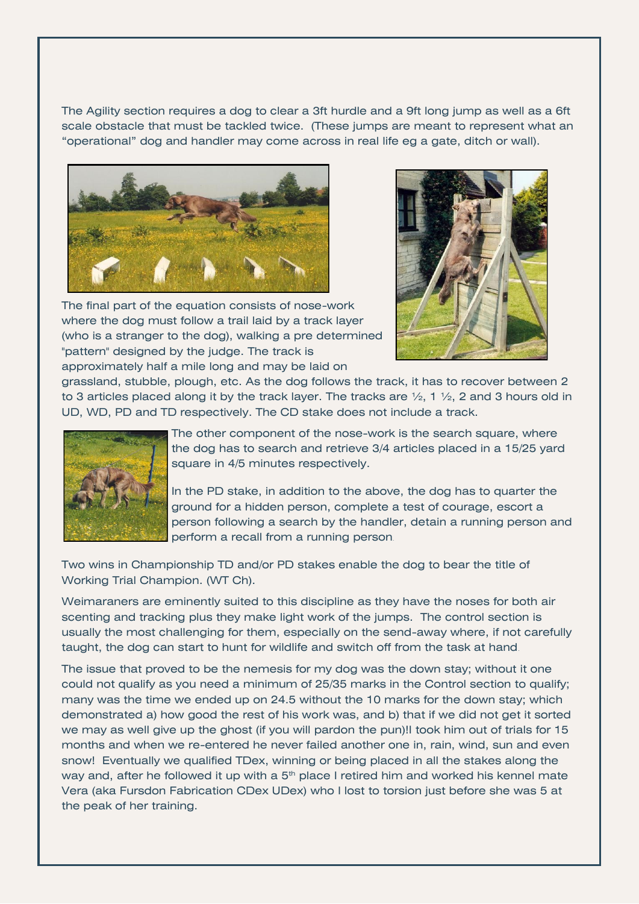The Agility section requires a dog to clear a 3ft hurdle and a 9ft long jump as well as a 6ft scale obstacle that must be tackled twice. (These jumps are meant to represent what an "operational" dog and handler may come across in real life eg a gate, ditch or wall).



The final part of the equation consists of nose-work where the dog must follow a trail laid by a track layer (who is a stranger to the dog), walking a pre determined "pattern" designed by the judge. The track is approximately half a mile long and may be laid on



grassland, stubble, plough, etc. As the dog follows the track, it has to recover between 2 to 3 articles placed along it by the track layer. The tracks are  $\frac{1}{2}$ , 1  $\frac{1}{2}$ , 2 and 3 hours old in UD, WD, PD and TD respectively. The CD stake does not include a track.



The other component of the nose-work is the search square, where the dog has to search and retrieve 3/4 articles placed in a 15/25 yard square in 4/5 minutes respectively.

In the PD stake, in addition to the above, the dog has to quarter the ground for a hidden person, complete a test of courage, escort a person following a search by the handler, detain a running person and perform a recall from a running person.

Two wins in Championship TD and/or PD stakes enable the dog to bear the title of Working Trial Champion. (WT Ch).

Weimaraners are eminently suited to this discipline as they have the noses for both air scenting and tracking plus they make light work of the jumps. The control section is usually the most challenging for them, especially on the send-away where, if not carefully taught, the dog can start to hunt for wildlife and switch off from the task at hand.

The issue that proved to be the nemesis for my dog was the down stay; without it one could not qualify as you need a minimum of 25/35 marks in the Control section to qualify; many was the time we ended up on 24.5 without the 10 marks for the down stay; which demonstrated a) how good the rest of his work was, and b) that if we did not get it sorted we may as well give up the ghost (if you will pardon the pun)!I took him out of trials for 15 months and when we re-entered he never failed another one in, rain, wind, sun and even snow! Eventually we qualified TDex, winning or being placed in all the stakes along the way and, after he followed it up with a  $5<sup>th</sup>$  place I retired him and worked his kennel mate Vera (aka Fursdon Fabrication CDex UDex) who I lost to torsion just before she was 5 at the peak of her training.